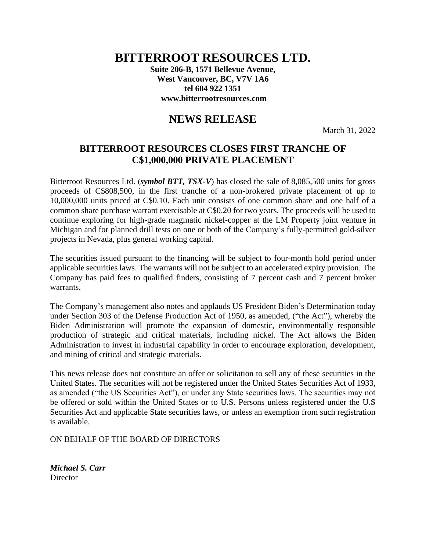## **BITTERROOT RESOURCES LTD.**

**Suite 206-B, 1571 Bellevue Avenue, West Vancouver, BC, V7V 1A6 tel 604 922 1351 www.bitterrootresources.com**

## **NEWS RELEASE**

March 31, 2022

## **BITTERROOT RESOURCES CLOSES FIRST TRANCHE OF C\$1,000,000 PRIVATE PLACEMENT**

Bitterroot Resources Ltd. (*symbol BTT, TSX-V*) has closed the sale of 8,085,500 units for gross proceeds of C\$808,500, in the first tranche of a non-brokered private placement of up to 10,000,000 units priced at C\$0.10. Each unit consists of one common share and one half of a common share purchase warrant exercisable at C\$0.20 for two years. The proceeds will be used to continue exploring for high-grade magmatic nickel-copper at the LM Property joint venture in Michigan and for planned drill tests on one or both of the Company's fully-permitted gold-silver projects in Nevada, plus general working capital.

The securities issued pursuant to the financing will be subject to four-month hold period under applicable securities laws. The warrants will not be subject to an accelerated expiry provision. The Company has paid fees to qualified finders, consisting of 7 percent cash and 7 percent broker warrants.

The Company's management also notes and applauds US President Biden's Determination today under Section 303 of the Defense Production Act of 1950, as amended, ("the Act"), whereby the Biden Administration will promote the expansion of domestic, environmentally responsible production of strategic and critical materials, including nickel. The Act allows the Biden Administration to invest in industrial capability in order to encourage exploration, development, and mining of critical and strategic materials.

This news release does not constitute an offer or solicitation to sell any of these securities in the United States. The securities will not be registered under the United States Securities Act of 1933, as amended ("the US Securities Act"), or under any State securities laws. The securities may not be offered or sold within the United States or to U.S. Persons unless registered under the U.S Securities Act and applicable State securities laws, or unless an exemption from such registration is available.

ON BEHALF OF THE BOARD OF DIRECTORS

*Michael S. Carr* **Director**